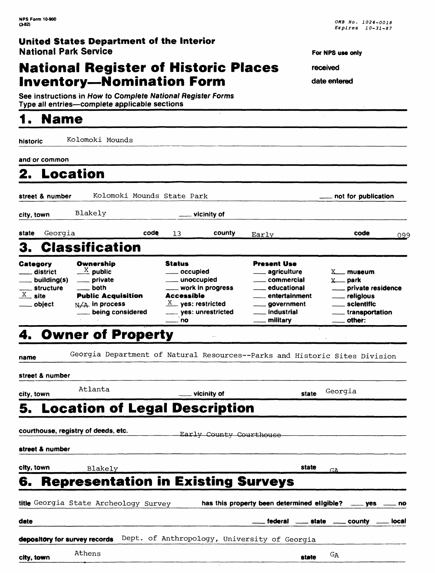### **National Register of Historic Places Inventory—Nomination Form**

See instructions in How to Complete National Register Forms Type all entries-complete applicable sections

### **1. Name**

**For NPS use only** 

**received** 

J.

**date entered**

| historic                                                                    | Kolomoki Mounds                                                                                                                     |                                                                                                                                                   |                                                                                                                                                                      |                                                                                                                                  |  |
|-----------------------------------------------------------------------------|-------------------------------------------------------------------------------------------------------------------------------------|---------------------------------------------------------------------------------------------------------------------------------------------------|----------------------------------------------------------------------------------------------------------------------------------------------------------------------|----------------------------------------------------------------------------------------------------------------------------------|--|
| and or common                                                               |                                                                                                                                     |                                                                                                                                                   |                                                                                                                                                                      |                                                                                                                                  |  |
| 2. Location                                                                 |                                                                                                                                     |                                                                                                                                                   |                                                                                                                                                                      |                                                                                                                                  |  |
| street & number                                                             | Kolomoki Mounds State Park                                                                                                          |                                                                                                                                                   |                                                                                                                                                                      |                                                                                                                                  |  |
| city, town                                                                  | Blakely                                                                                                                             | vicinity of                                                                                                                                       |                                                                                                                                                                      |                                                                                                                                  |  |
| Georgia<br>state                                                            | code                                                                                                                                | county<br>13                                                                                                                                      | Early                                                                                                                                                                | code<br>099                                                                                                                      |  |
| З.                                                                          | <b>Classification</b>                                                                                                               |                                                                                                                                                   |                                                                                                                                                                      |                                                                                                                                  |  |
| Category<br>__ district<br>building(s)<br>_ structure<br>$X$ site<br>object | Ownership<br>$\frac{X}{A}$ public<br>____ private<br>____ both<br><b>Public Acquisition</b><br>$N/A$ in process<br>being considered | <b>Status</b><br>____ occupied<br>___ unoccupied<br>___ work in progress<br>Accessible<br>$X$ yes: restricted<br>____ yes: unrestricted<br>___ no | <b>Present Use</b><br><sub>——</sub> agriculture<br>____ commercial<br>____ educational<br>entertainment<br>____ government<br>___ industrial<br><u>_</u> __ military | $X$ <sub>museum</sub><br>$x$ park<br>_____ private residence<br>___ religious<br>____ sclentific<br>___ transportation<br>other: |  |
|                                                                             | 4. Owner of Property                                                                                                                |                                                                                                                                                   |                                                                                                                                                                      |                                                                                                                                  |  |
| name                                                                        | Georgia Department of Natural Resources--Parks and Historic Sites Division                                                          |                                                                                                                                                   |                                                                                                                                                                      |                                                                                                                                  |  |
| street & number                                                             |                                                                                                                                     |                                                                                                                                                   |                                                                                                                                                                      |                                                                                                                                  |  |
| Atlanta<br>city, town                                                       |                                                                                                                                     | vicinity of                                                                                                                                       | state                                                                                                                                                                | Georgia                                                                                                                          |  |
|                                                                             | 5. Location of Legal Description                                                                                                    |                                                                                                                                                   |                                                                                                                                                                      |                                                                                                                                  |  |
|                                                                             | courthouse, registry of deeds, etc.                                                                                                 | Early County Courthouse                                                                                                                           |                                                                                                                                                                      |                                                                                                                                  |  |
| street & number                                                             |                                                                                                                                     |                                                                                                                                                   |                                                                                                                                                                      |                                                                                                                                  |  |
| city, town                                                                  | Blakely                                                                                                                             |                                                                                                                                                   | state                                                                                                                                                                | <b>GA</b>                                                                                                                        |  |
| 6.                                                                          | <b>Representation in Existing Surveys</b>                                                                                           |                                                                                                                                                   |                                                                                                                                                                      |                                                                                                                                  |  |
|                                                                             | title Georgia State Archeology Survey                                                                                               |                                                                                                                                                   | has this property been determined eligible?                                                                                                                          | yes<br>no                                                                                                                        |  |
| date                                                                        |                                                                                                                                     |                                                                                                                                                   | federal<br>$\frac{1}{2}$ state                                                                                                                                       | county<br>local                                                                                                                  |  |
| depository for survey records                                               |                                                                                                                                     | Dept. of Anthropology, University of Georgia                                                                                                      |                                                                                                                                                                      |                                                                                                                                  |  |
| city, town                                                                  | Athens                                                                                                                              |                                                                                                                                                   | state                                                                                                                                                                | GA                                                                                                                               |  |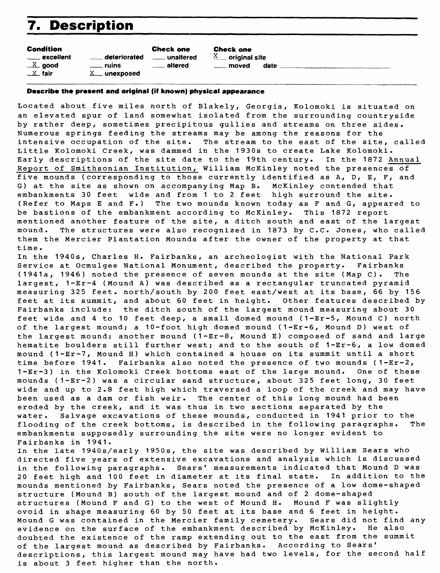## **7. Description**

Condition Check one<br>
cxcellent 
<u>Lateriorated</u> 
callent <u>Lateriorated</u> deteriorated **unaltered**  $X$  good  $x$  ruins altered  $X$  fair  $X$  unexposed

Check one  $X$  original site moved date

#### **Describe the present and original (if known) physical appearance**

Located about five miles north of Blakely, Georgia, Kolomoki is situated on an elevated spur of land somewhat isolated from the surrounding countryside by rather deep, sometimes precipitous gullies and streams on three sides. Numerous springs feeding the streams may be among the reasons for the intensive occupation of the site. The stream to the east of the site, called Little Kolomoki Creek, was dammed in the 1930s to create Lake Kolomoki. Early descriptions of the site date to the 19th century. In the 1872 Annual Report of Smithsonian Institution, William McKinley noted the presences of five mounds (corresponding to those currently identified as A, D, E, F, and G) at the site as shown on accompanying Map B. McKinley contended that embankments 30 feet wide and from 1 to 2 feet high surround the site. (Refer to Maps E and F.) The two mounds known today as F and G, appeared to be bastions of the embankment according to McKinley. This 1872 report mentioned another feature of the site, a ditch south and east of the largest mound. The structures were also recognized in 1873 by C.C. Jones, who called them the" Mercier Plantation Mounds after the owner of the property at that time .

In the 1940s, Charles H. Fairbanks, an archeologist with the National Park Service at Ocmulgee National Monument, described the property. Fairbanks (1941a, 1946) noted the presence of seven mounds at the site (Map C). The largest, 1-Er-4 (Mound A) was described as a rectangular truncated pyramid measuring 325 feet, north/south by 200 feet east/west at its base, 66 by 156 feet at its summit, and about 60 feet in height. Other features described by Fairbanks include: the ditch south of the largest mound measuring about 30 feet wide and 4 to 10 feet deep, a small domed mound (1-Er-5, Mound C) north of the largest mound; a 10-foot high domed mound (1-Er-6, Mound D) west of the largest mound; another mound (1-Er-8, Mound E) composed of sand and large hematite boulders still further west; and to the south of 1-Er-6, a low domed mound (1-Er-7, Mound H) which contained a house on its summit until a short time before 1941. Fairbanks also noted the presence of two mounds (1-Er-2, 1-Er-3) in the Kolomoki Creek bottoms east of the large mound. One of these mounds (1-Er-2) was a circular sand structure, about 325 feet long, 30 feet wide and up to 2.8 feet high which traversed a loop of the creek and may have been used as a dam or fish weir. The center of this long mound had been eroded by the creek, and it was thus in two sections separated by the water. Salvage excavations of these mounds, conducted in 1941 prior to the flooding of the creek bottoms, is described in the following paragraphs. The embankments supposedly surrounding the site were no longer evident to Fairbanks in 1941.

In the late 1940s/early 1950s, the site was described by William Sears who directed five years of extensive excavations and analysis which is discussed in the following paragraphs. Sears' measurements indicated that Mound D was 20 feet high and 100 feet in diameter at its final state. In addition to the mounds mentioned by Fairbanks, Sears noted the presence of a low dome-shaped structure (Mound B) south of the largest mound and of 2 dome-shaped structures (Mound F and G) to the west of Mound H. Mound F was slightly ovoid in shape measuring 60 by 50 feet at its base and 6 feet in height. Mound G was contained in the Mercier family cemetery. Sears did not find any<br>evidence on the surface of the embankment described by McKinley. He also evidence on the surface of the embankment described by McKinley. doubted the existence of the ramp extending out to the east from the summit of the largest mound as described by Fairbanks. According to Sears' descriptions, this largest mound may have had two levels, for the second half is about 3 feet higher than the north.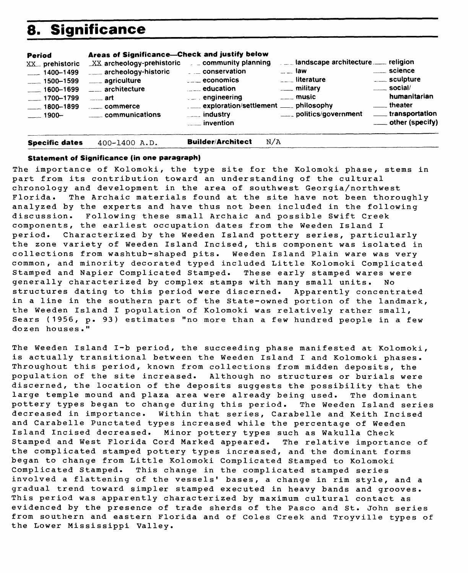### **8. Significance**

| Period<br>XX <sub>D</sub> prehistoric<br>$-1400 - 1499$<br>$-1500 - 1599$<br>$- 1600 - 1699$<br>$-1700 - 1799$<br>$\frac{1}{2}$ 1800–1899<br>$1900 -$ | Areas of Significance-Check and justify below<br>$XX$ archeology-prehistoric<br>___ archeology-historic<br>____ agriculture<br>____ architecture<br>$\overline{\phantom{a}}$ art<br>commerce<br>communications | $\epsilon$ = community planning<br>$\overline{\phantom{a}}$ conservation<br>$\overline{\phantom{a}}$ economics<br>$\frac{1}{2}$ education<br>$\mathcal{L}$ engineering<br>.___ exploration/settlement ____ philosophy<br>$\frac{1}{2}$ industry<br><u>uma</u> invention | $\sim$ $\sim$ law<br>$\Gamma$ <sub><math>\Gamma</math></sub> literature<br><u>_</u> ___ military<br>____ music<br>____ politics/government | <b>Example 1</b> Science<br>____ sculpture<br>$\sim$ social/<br>humanitarian<br>_____ theater<br>____ transportation<br>____ other (specify) |
|-------------------------------------------------------------------------------------------------------------------------------------------------------|----------------------------------------------------------------------------------------------------------------------------------------------------------------------------------------------------------------|-------------------------------------------------------------------------------------------------------------------------------------------------------------------------------------------------------------------------------------------------------------------------|--------------------------------------------------------------------------------------------------------------------------------------------|----------------------------------------------------------------------------------------------------------------------------------------------|
| <b>Specific dates</b>                                                                                                                                 | 400-1400 A.D.                                                                                                                                                                                                  | <b>Builder/Architect</b><br>N/A                                                                                                                                                                                                                                         |                                                                                                                                            |                                                                                                                                              |

#### **Statement of Significance (in one paragraph)**

The importance of Kolomoki, the type site for the Kolomoki phase, stems in part from its contribution toward an understanding of the cultural chronology and development in the area of southwest Georgia/northwest Florida. The Archaic materials found at the site have not been thoroughly analyzed by the experts and have thus not been included in the following discussion. Following these small Archaic and possible Swift Creek components, the earliest occupation dates from the Weeden Island I period. Characterized by the Weeden Island pottery series, particularly the zone variety of Weeden Island Incised, this component was isolated in collections from washtub-shaped pits. Weeden Island Plain ware was very common, and minority decorated typed included Little Kolomoki Complicated Stamped and Napier Complicated Stamped. These early stamped wares were generally characterized by complex stamps with many small units. No structures dating to this period were discerned. Apparently concentrated in a line in the southern part of the State-owned portion of the landmark, the Weeden Island I population of Kolomoki was relatively rather small, Sears (1956, p. 93) estimates "no more than a few hundred people in a few dozen houses."

The Weeden Island I-b period, the succeeding phase manifested at Kolomoki, is actually transitional between the Weeden Island I and Kolomoki phases. Throughout this period, known from collections from midden deposits, the population of the site increased. Although no structures or burials were discerned, the location of the deposits suggests the possibility that the large temple mound and plaza area were already being used. The dominant pottery types began to change during this period. The Weeden Island series decreased in importance. Within that series, Carabelle and Keith Incised and Carabelle Punctated types increased while the percentage of Weeden Island Incised decreased. Minor pottery types such as Wakulla Check Stamped and West Florida Cord Marked appeared. The relative importance of the complicated stamped pottery types increased, and the dominant forms began to change from Little Kolomoki Complicated Stamped to Kolomoki Complicated Stamped. This change in the complicated stamped series involved a flattening of the vessels' bases, a change in rim style, and a gradual trend toward simpler stamped executed in heavy bands and grooves. This period was apparently characterized by maximum cultural contact as evidenced by the presence of trade sherds of the Pasco and St. John series from southern and eastern Florida and of Coles Creek and Troyville types of the Lower Mississippi Valley.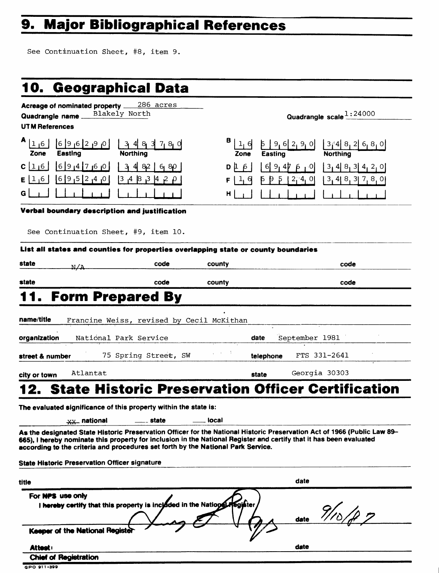# **9. Major Bibliographical References**

See Continuation Sheet, #8, item 9.

|                          |                                                      | 10. Geographical Data                                                                                                                                                                                                                           |               |                         |                                                                      |
|--------------------------|------------------------------------------------------|-------------------------------------------------------------------------------------------------------------------------------------------------------------------------------------------------------------------------------------------------|---------------|-------------------------|----------------------------------------------------------------------|
|                          |                                                      | Acreage of nominated property ____286_acres                                                                                                                                                                                                     |               |                         |                                                                      |
| Quadrangle name_         |                                                      | Blakely North                                                                                                                                                                                                                                   |               |                         | Quadrangle scale 1:24000                                             |
| <b>UTM References</b>    |                                                      |                                                                                                                                                                                                                                                 |               |                         |                                                                      |
| 1 <sub>1</sub> 6<br>Zone | 0   9   2   9   0<br>Easting                         | 3483780<br><b>Northing</b>                                                                                                                                                                                                                      | B 1,6<br>Zone | 5 9,6 2,9,0 <br>Easting | $[3/4]$ 8 <sub>1</sub> 2 6 <sub>1</sub> 8 <sub>1</sub> 0<br>Northing |
| C[1]6                    | 0 9 4 7 6 0                                          | $3 \, 4 \, 82$<br>6, 80                                                                                                                                                                                                                         | DΙβ           | $6$   9,47<br>۰O        | $3, 4$ $8, 3$ $4, 2, 0$                                              |
| E[1,6]                   | 0 <sub> </sub> 4 <sub> </sub> 2 5 9 6                | 3,4,8,3,14,2,0                                                                                                                                                                                                                                  |               | Þ<br>$2^{4}$ , 0        | $3, 4$ 8, 3 $7, 8, 0$                                                |
|                          |                                                      |                                                                                                                                                                                                                                                 | н             |                         |                                                                      |
|                          |                                                      | Verbal boundary description and justification                                                                                                                                                                                                   |               |                         |                                                                      |
|                          |                                                      |                                                                                                                                                                                                                                                 |               |                         |                                                                      |
|                          |                                                      | See Continuation Sheet, #9, item 10.                                                                                                                                                                                                            |               |                         |                                                                      |
|                          |                                                      | List all states and counties for properties overlapping state or county boundaries                                                                                                                                                              |               |                         |                                                                      |
| state                    | N/A                                                  | code                                                                                                                                                                                                                                            | county        |                         | code                                                                 |
| state                    |                                                      | code                                                                                                                                                                                                                                            | county        |                         | code                                                                 |
|                          |                                                      | <b>Form Prepared By</b>                                                                                                                                                                                                                         |               |                         |                                                                      |
|                          |                                                      |                                                                                                                                                                                                                                                 |               |                         |                                                                      |
| name/title               |                                                      | Francine Weiss, revised by Cecil McKithan                                                                                                                                                                                                       |               |                         |                                                                      |
| organization             |                                                      | National Park Service                                                                                                                                                                                                                           |               | September 1981<br>date  |                                                                      |
| street & number          |                                                      | 75 Spring Street, SW                                                                                                                                                                                                                            | Andrea T      | telephone               | FTS 331-2641                                                         |
|                          |                                                      |                                                                                                                                                                                                                                                 |               |                         |                                                                      |
| city or town             | Atlantat                                             |                                                                                                                                                                                                                                                 |               | state                   | Georgia 30303                                                        |
|                          |                                                      | <b>State Historic Preservation Officer Certification</b>                                                                                                                                                                                        |               |                         |                                                                      |
|                          |                                                      | The evaluated significance of this property within the state is:                                                                                                                                                                                |               |                         |                                                                      |
|                          | <b>XX_national</b>                                   | state                                                                                                                                                                                                                                           | local         |                         |                                                                      |
|                          |                                                      | As the designated State Historic Preservation Officer for the National Historic Preservation Act of 1966 (Public Law 89-<br>665), I hereby nominate this property for inclusion in the National Register and certify that it has been evaluated |               |                         |                                                                      |
|                          |                                                      | according to the criteria and procedures set forth by the National Park Service.                                                                                                                                                                |               |                         |                                                                      |
|                          | <b>State Historic Preservation Officer signature</b> |                                                                                                                                                                                                                                                 |               |                         |                                                                      |
| title                    |                                                      |                                                                                                                                                                                                                                                 |               | date                    |                                                                      |
|                          | For NPS use only                                     |                                                                                                                                                                                                                                                 |               |                         |                                                                      |
|                          |                                                      | I hereby certify that this property is incloded in the National                                                                                                                                                                                 | fegister      | date                    |                                                                      |
|                          | Keeper of the National Registe                       |                                                                                                                                                                                                                                                 |               |                         |                                                                      |
| Attest:                  |                                                      |                                                                                                                                                                                                                                                 |               | date                    |                                                                      |
|                          | <b>Chief of Registration</b>                         |                                                                                                                                                                                                                                                 |               |                         |                                                                      |

**GPO 91 1-399**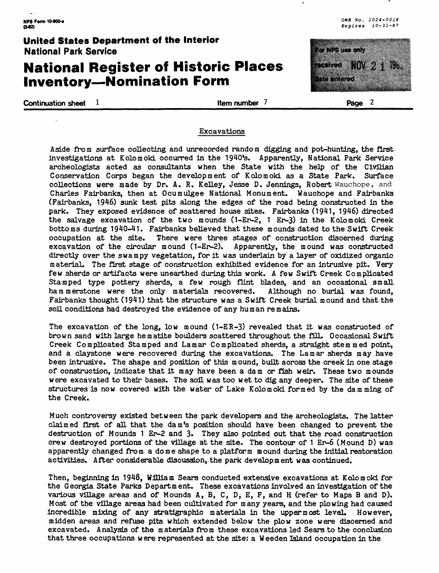nya ku

#### **United States Department of the Interior** National Park Service

### **National Register of Historic Places Inventory — Nomination Form**

**Continuation sheet 1 https://www.fragereedu.org/continuation sheet 1 Page 2** 

maan aanaa

ata di Kabupatén Bandungan Kabupatén Indonésia.<br>Kabupatén Jawa Bandungara Kabupatén Kabupatén Kabupatén Kabupatén Kabupatén Kabupatén Kabupatén Kabupatén Kabu

#### Excavations

Aside from surface collecting and unrecorded random digging and pot-hunting, the first investigations at Kolomoki occurred in the 1940fs. Apparently, National Park Service archeologists acted as consultants when the State with the help of the Civilian Conservation Corps began the development of Kolomoki as a State Park. Surface collections were made by Dr. A. R. Kelley, Jesse D. Jennings, Robert Wauchope, and Charles Fairbanks, then at Ocumulgee National Monument. Wauchope and Fairbanks (Fairbanks, 1946) sunk test pits along the edges of the road being constructed in the park. They exposed evidence of scattered house sites. Fairbanks (1941, 1946) directed the salvage excavation of the two mounds (1-Er-2, 1 Er-3) in the Kolomoki Creek bottoms during 1940-41. Fairbanks believed that these mounds dated to the Swift Creek occupation at the site. There were three stages of construction discerned during excavation of the circular mound (1-Er-2). Apparently, the mound was constructed directly over the swampy vegetation, for it was underlain by a layer of oxidized organic material. The first stage of construction exhibited evidence for an intrusive pit. Very few sherds or artifacts were unearthed during this work. A few Swift Creek Complicated Stamped type pottery sherds, a few rough flint blades, and an occasional small hammerstone were the only materials recovered. Although no burial was found, Fairbanks thought (1941) that the structure was a Swift Creek burial mound and that the soil conditions had destroyed the evidence of any human remains.

The excavation of the long, low mound (1-ER-3) revealed that it was constructed of brown sand with large hematite boulders scattered throughout the fill. Occasional Swift Creek Complicated Stamped and La mar Complicated sherds, a straight stemmed point, and a claystone were recovered during the excavations. The Lamar sherds may have been intrusive. The shape and position of this mound, built across the creek in one stage of construction, indicate that it may have been a dam or fish weir. These two mounds were excavated to their bases. The soil was too wet to dig any deeper. The site of these structures is now covered with the water of Lake Kolomoki formed by the damming of the Creek.

Much controversy existed between the park developers and the archeologists. The latter claimed first of all that the dam's position should have been changed to prevent the destruction of Mounds 1 Er-2 and 3. They also pointed out that the road construction crew destroyed portions of the village at the site. The contour of 1 Er-6 (Mound D) was apparently changed from a dome shape to a platform mound during the initial restoration activities. After considerable discussion, the park development was continued.

Then, beginning in 1948, William Sears conducted extensive excavations at Kolomoki for the Georgia State Parks Department. These excavations involved an investigation of the various village areas and of Mounds A, B, C, D, E, F, and H (refer to Maps B and D). Most of the village areas had been cultivated for many years, and the plowing had caused incredible mixing of any stratigraphic materials in the uppermost level. However, midden areas and refuse pits which extended below the plow zone were discerned and excavated. Analysis of the materials from these excavations led Sears to the conclusion that three occupations were represented at the site: a Weeden Island occupation in the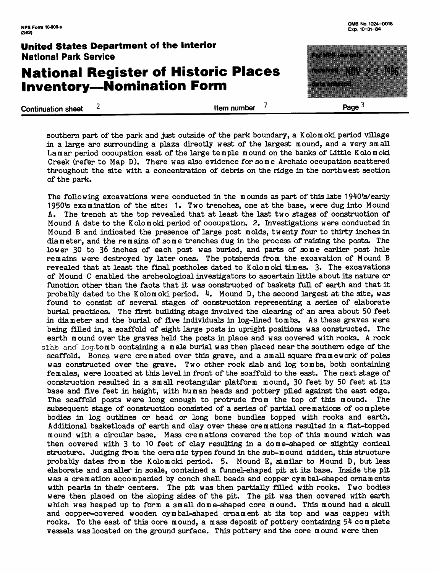### **National Register of Historic Places Inventory — Nomination Form**

**Continuation sheet** 2 **Item number** 2

M. Page  $3$ 

southern part of the park and just outside of the park boundary, a Kolomoki period village in a large arc surrounding a plaza directly west of the largest mound, and a very small La mar period occupation east of the large temple mound on the banks of Little Kolomoki Creek (refer to Map D). There was also evidence for some Archaic occupation scattered throughout the site with a concentration of debris on the ridge in the northwest section of the park.

The following excavations were conducted in the mounds as part of this late 1940's/early 1950's examination of the site: 1. Two trenches, one at the base, were dug into Mound A. The trench at the top revealed that at least the last two stages of construction of Mound A date to the Kolomoki period of occupation. 2. Investigations were conducted in Mound B and indicated the presence of large post molds, twenty four to thirty inches in diameter, and the remains of some trenches dug in the process of raiding the posts. The lower 30 to 36 inches of each post was buried, and parts of some earlier post hole remains were destroyed by later ones. The potsherds from the excavation of Mound B revealed that at least the final postholes dated to Kolomoki times. 3. The excavations of Mound C enabled the archeological investigators to ascertain little about its nature or function other than the facts that it was constructed of baskets full of earth and that it probably dated to the Kolomoki period.  $4$ . Mound D, the second largest at the site, was found to consist of several stages of construction representing a series of elaborate burial practices. The first building stage involved the clearing of an area about 50 feet in diameter and the burial of five individuals in log-lined tombs. As these graves were being filled in, a scaffold of eight large posts in upright positions was constructed. The earth mound over the graves held the posts in place and was covered with rocks. A rock slab and log tomb containing a male burial was then placed near the southern edge of the scaffold. Bones were cremated over this grave, and a small square framework of poles was constructed over the grave. Two other rock slab and log tombs, both containing females, were located at this level in front of the scaffold to the east. The next stage of construction resulted in a small rectangular platform mound, 30 feet by 50 feet at its base and five feet in height, with human heads and pottery piled against the east edge. The scaffold posts were long enough to protrude from the top of this mound. The subsequent stage of construction consisted of a series of partial cremations of complete bodies in log outlines or head or long bone bundles topped with rocks and earth. Additional basketloads of earth and clay over these cremations resulted in a flat-topped mound with a circular base. Mass cremations covered the top of this mound which was then covered with 3 to 10 feet of clay resulting in a dome-shaped or slightly conical structure. Judging from the ceramic types found in the sub-mound midden, this structure probably dates from the Kolomoki period. 5. Mound E, similar to Mound D, but less elaborate and smaller in scale, contained a funnel-shaped pit at its base. Inside the pit was a cremation accompanied by conch shell beads and copper cymbal-shaped ornaments with pearls in their centers. The pit was then partially filled with rocks. Two bodies were then placed on the sloping sides of the pit. The pit was then covered with earth which was heaped up to form a small dome-shaped core mound. This mound had a skull and copper-covered wooden cymbal-shaped ornament at its top and was capped with rocks. To the east of this core mound, a mass deposit of pottery containing 54 complete vessels was located on the ground surface. This pottery and the core mound were then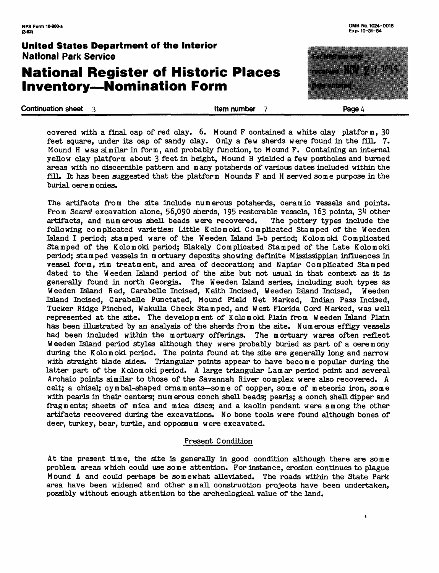### **National Register of Historic Places Inventory — Nomination Form**

**Continuation sheet 3 ltem number 7 Page 4 Page 4** 

ŧ.

covered with a final cap of red clay. 6. Mound F contained a white clay platform, 30 feet square, under its cap of sandy clay. Only a few sherds were found in the fill. 7. Mound H was similar in form, and probably function, to Mound F. Containing an internal yellow clay platform about 3 feet in height, Mound H yielded a few postholes and burned areas with no discernible pattern and many potsherds of various dates included within the fill. It has been suggested that the platform Mounds F and H served some purpose in the burial cere m onies.

The artifacts from the site include numerous potsherds, ceramic vessels and points. From Sears' excavation alone, 56,090 sherds, 195 restorable vessels, 163 points,  $34$  other artifacts, and numerous shell beads were recovered. The pottery types include the artifacts, and numerous shell beads were recovered. following complicated varieties: Little Kolomoki Complicated Stamped of the Weeden Island I period; stamped ware of the Weeden Island I-b period; Kolomoki Complicated Stamped of the Kolomoki period; Blakely Complicated Stamped of the Late Kolomoki period; stamped vessels in mortuary deposits showing definite Mississippian influences in vessel form, rim treatment, and area of decoration; and Napier Complicated Stamped dated to the Weeden Island period of the site but not usual in that context as it is generally found in north Georgia. The Weeden Island series, including such types as Weeden Island Red, Carabelle Incised, Keith Incised, Weeden Island Incised, Weeden Island Incised, Carabelle Punctated, Mound Field Net Marked, Indian Pass Incised, Tucker Ridge Pinched, Wakulla Check Stamped, and West Florida Cord Marked, was well represented at the site. The development of Kolomoki Plain from Weeden Island Plain has been illustrated by an analysis of the sherds from the site. Numerous effigy vessels had been included within the mortuary offerings. The mortuary wares often reflect Weeden Island period styles although they were probably buried as part of a ceremony during the Kolomoki period. The points found at the site are generally long and narrow with straight blade sides. Triangular points appear to have become popular during the latter part of the Kolomoki period. A large triangular Lamar period point and several Archaic points similar to those of the Savannah River complex were also recovered. A celt; a chisel; cymbal-shaped ornaments— some of copper, some of meteoric iron, some with pearls in their centers; numerous conch shell beads; pearls; a conch shell dipper and fragments; sheets of mica and mica discs; and a kaolin pendant were among the other artifacts recovered during the excavations. No bone tools were found although bones of deer, turkey, bear, turtle, and oppossum were excavated.

#### Present Condition

At the present time, the site is generally in good condition although there are some problem areas which could use some attention. For instance, erosion continues to plague Mound A and could perhaps be somewhat alleviated. The roads within the State Park area have been widened and other small construction projects have been undertaken, possibly without enough attention to the archeological value of the land.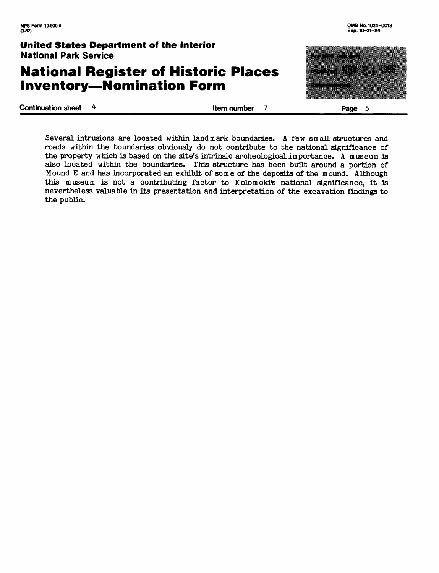### **National Register of Historic Places Inventory—Nomination Form**

**Continuation sheet** 4 **Item number 7 Page 5** 

ranan dunya mus

<u>mentang pa</u>

an dhe shekarar a shekarar ta 1980.<br>Marejeo

Several intrusions are located within landmark boundaries. A few small structures and roads within the boundaries obviously do not contribute to the national significance of the property which is based on the site's intrinsic archeological importance. A museum is also located within the boundaries. This structure has been built around a portion of Mound E and has incorporated an exhibit of some of the deposits of the mound. Although this museum is not a contributing factor to Kolomoki's national significance, it is nevertheless valuable in its presentation and interpretation of the excavation findings to the public.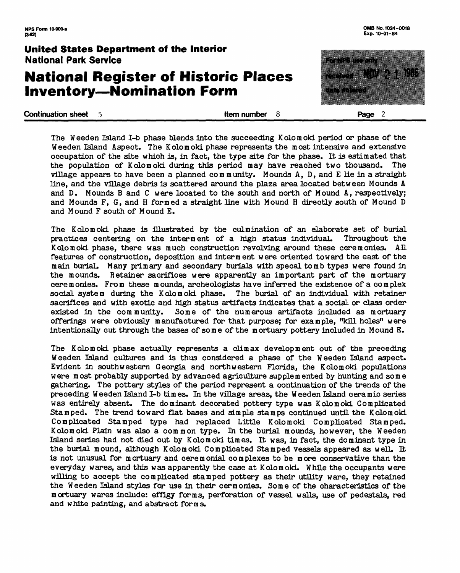### **National Register of Historic Places Inventory—Nomination Form**

**Continuation sheet 5 continuation sheet 5 continuation sheet 5 continuation sheet 5 continuation sheet 5 continuation Page 2** 

Ha

53 X 11

The Weeden Island I-b phase blends into the succeeding Kolomoki period or phase of the Weeden Island Aspect. The Kolomoki phase represents the most intensive and extensive occupation of the site which is, in fact, the type site for the phase. It is estimated that the population of Kolomoki during this period may have reached two thousand. The village appears to have been a planned community. Mounds  $A$ ,  $D$ , and  $E$  lie in a straight line, and the village debris is scattered around the plaza area located between Mounds A and D. Mounds B and C were located to the south and north of Mound A, respectively; and Mounds F, G, and H formed a straight line with Mound H directly south of Mound D and Mound F south of Mound E.

The Kolomoki phase is illustrated by the culmination of an elaborate set of burial practices centering on the interment of a high status individual. Throughout the Kolomoki phase, there was much construction revolving around these ceremonies. All features of construction, deposition and interment were oriented toward the east of the main burial. Many primary and secondary burials with specal tomb types were found in the mounds. Retainer sacrifices were apparently an important part of the mortuary cere m onies. From these mounds, archeologists have inferred the existence of a complex social system during the Kolomoki phase. The burial of an individual with retainer sacrifices and with exotic and high status artifacts indicates that a social or class order existed in the community. Some of the numerous artifacts included as mortuary offerings were obviously manufactured for that purpose; for example, "kill holes" were intentionally cut through the bases of some of the mortuary pottery included in Mound E.

The Kolomoki phase actually represents a climax development out of the preceding Weeden Island cultures and is thus considered a phase of the Weeden Island aspect. Evident in southwestern Georgia and northwestern Florida, the Kolomoki populations were most probably supported by advanced agriculture supplemented by hunting and some gathering. The pottery styles of the period represent a continuation of the trends of the preceding Wee den Island I-b times. In the village areas, the Weeden Island ceramic series was entirely absent. The dominant decorated pottery type was Kolomoki Complicated Stamped. The trend toward flat bases and simple stamps continued until the Kolomoki Complicated Stamped type had replaced Little Kolomoki Complicated Stamped. Kolomoki Plain was also a common type. In the burial mounds, however, the Weeden Island series had not died out by Kolomoki times. It was, in fact, the dominant type in the burial mound, although Kolomoki Complicated Stamped vessels appeared as well. It is not unusual for mortuary and ceremonial complexes to be more conservative than the everyday wares, and this was apparently the case at Kolomoki. While the occupants were willing to accept the complicated stamped pottery as their utility ware, they retained the Weeden Island styles for use in their cermonies. Some of the characteristics of the mortuary wares include: effigy forms, perforation of vessel walls, use of pedestals, red and white painting, and abstract forms.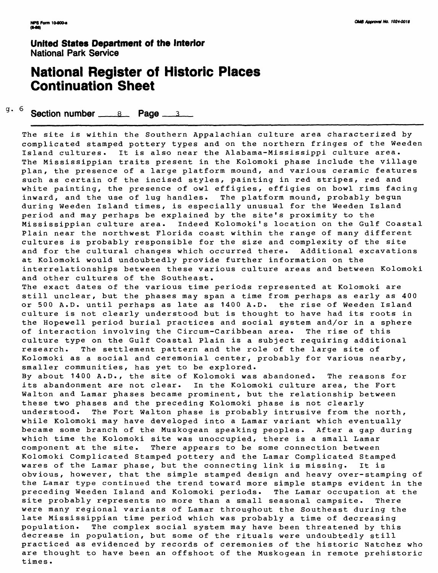### **National Register of Historic Places Continuation Sheet**

q. 6 **Section number 8 Page 3** 

The site is within the Southern Appalachian culture area characterized by complicated stamped pottery types and on the northern fringes of the Weeden Island cultures. It is also near the Alabama-Mississippi culture area. The Mississippian traits present in the Kolomoki phase include the village plan, the presence of a large platform mound, and various ceramic features such as certain of the incised styles, painting in red stripes, red and white painting, the presence of owl effigies, effigies on bowl rims facing inward, and the use of lug handles. The platform mound, probably begun during Weeden Island times, is especially unusual for the Weeden Island period and may perhaps be explained by the site's proximity to the Mississippian culture area. Indeed Kolomoki's location on the Gulf Coastal Plain near the northwest Florida coast within the range of many different cultures is probably responsible for the size and complexity of the site and for the cultural changes which occurred there. Additional excavations at Kolomoki would undoubtedly provide further information on the interrelationships between these various culture areas and between Kolomoki and other cultures of the Southeast. The exact dates of the various time periods represented at Kolomoki are still unclear, but the phases may span a time from perhaps as early as 400 or 500 A.D. until perhaps as late as 1400 A.D. the rise of Weeden Island culture is not clearly understood but is thought to have had its roots in

of interaction involving the Circum-Caribbean area. The rise of this culture type on the Gulf Coastal Plain is a subject requiring additional research. The settlement pattern and the role of the large site of Kolomoki as a social and ceremonial center, probably for various nearby, smaller communities, has yet to be explored.

the Hopewell period burial practices and social system and/or in a sphere

By about 1400 A.D., the site of Kolomoki was abandoned. The reasons for its abandonment are not clear. In the Kolomoki culture area, the Fort Walton and Lamar phases became prominent, but the relationship between these two phases and the preceding Kolomoki phase is not clearly understood. The Fort Walton phase is probably intrusive from the north, while Kolomoki may have developed into a Lamar variant which eventually became some branch of the Muskogean speaking peoples. After a gap during which time the Kolomoki site was unoccupied, there is a small Lamar component at the site. There appears to be some connection between Kolomoki Complicated Stamped pottery and the Lamar Complicated Stamped wares of the Lamar phase, but the connecting link is missing. It is obvious, however, that the simple stamped design and heavy over-stamping of the Lamar type continued the trend toward more simple stamps evident in the preceding Weeden Island and Kolomoki periods. The Lamar occupation at the site probably represents no more than a small seasonal campsite. There were many regional variants of Lamar throughout the Southeast during the late Mississippian time period which was probably a time of decreasing population. The complex social system may have been threatened by this decrease in population, but some of the rituals were undoubtedly still practiced as evidenced by records of ceremonies of the historic Natchez who are thought to have been an offshoot of the Muskogean in remote prehistoric times.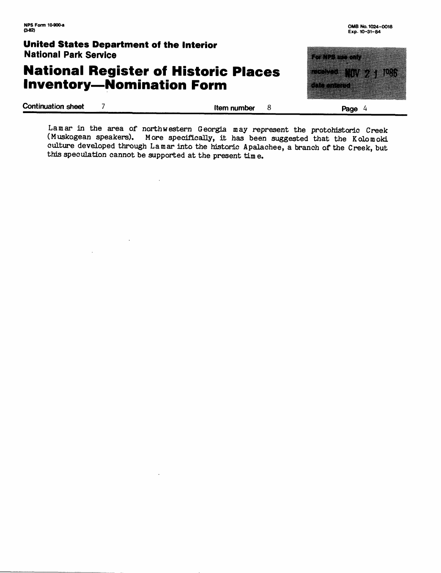### **National Register of Historic Places Inventory—Nomination Form**



Lamar in the area of northwestern Georgia may represent the protohistoric Creek<br>(Muskogean speakers), More specifically, it has been suggested that the Kolomoki More specifically, it has been suggested that the Kolomoki culture developed through La mar into the historic Apalachee, a branch of the Creek, but this speculation cannot be supported at the present time.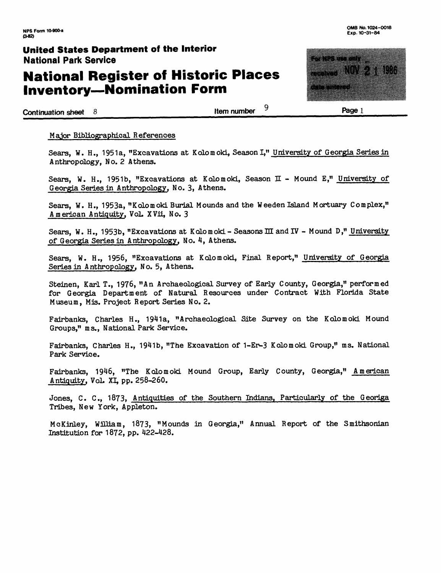### **National Register of Historic Places Inventory — Nomination Form**

**Continuation sheet 8 Item number**  $\frac{9}{2}$  **Page 1** 

#### Major Bibliographical References

Sears, W. H., 1951a, "Excavations at Kolomoki, Season I," University of Georgia Series in Anthropology, No. 2 Athens.

Sears, W. H., 1951b, "Excavations at Kolomoki, Season II - Mound E," University of Georgia Series in Anthropology, No. 3, Athens.

Sears, W. H., 1953a, "Kolomoki Burial Mounds and the Weeden Island Mortuary Complex," American Antiquity, VoL XVii, No. 3

Sears, W. H., 1953b, "Excavations at Kolomoki - Seasons III and IV - Mound D," University of Georgia Series in Anthropology, No. 4, Athens.

Sears, W. H., 1956, "Excavations at Kolomoki, Final Report," University of Georgia Series in Anthropology, No. 5, Athens.

Steinen, Karl T., 1976, "An Archaeological Survey of Early County, Georgia," performed for Georgia Department of Natural Resources under Contract With Florida State Museum, Mis. Project Report Series No. 2.

Fairbanks, Charles H., 1941a, "Archaeological Site Survey on the Kolomoki Mound Groups," ms., National Park Service.

Fairbanks, Charles H., 194lb, "The Excavation of 1-Er-3 Kolomoki Group," ms. National Park Service.

Fairbanks, 1946, "The Kolomoki Mound Group, Early County, Georgia," American Antiquity, VoL XI, pp. 258-260.

Jones, C. C., 1873, Antiquities of the Southern Indians, Particularly of the Georiga Tribes, New York, Appleton.

McKinley, WIDiam, 18?3, "Mounds in Georgia," Annual Report of the Smithsonian Institution for 1872, pp. 422-428.

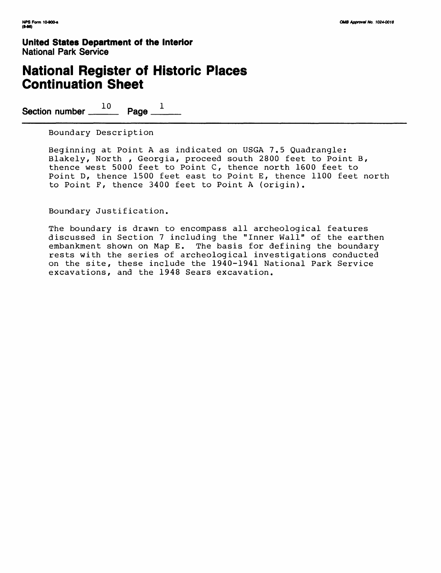### **National Register of Historic Places Continuation Sheet**

Section number  $\frac{10}{2}$  Page  $\frac{1}{2}$ 

Boundary Description

Beginning at Point A as indicated on USGA 7.5 Quadrangle: Blakely, North , Georgia, proceed south 2800 feet to Point B, thence west 5000 feet to Point C, thence north 1600 feet to Point D, thence 1500 feet east to Point E, thence 1100 feet north to Point F, thence 3400 feet to Point A (origin).

Boundary Justification.

The boundary is drawn to encompass all archeological features discussed in Section 7 including the "Inner Wall" of the earthen embankment shown on Map E. The basis for defining the boundary rests with the series of archeological investigations conducted on the site, these include the 1940-1941 National Park Service excavations, and the 1948 Sears excavation.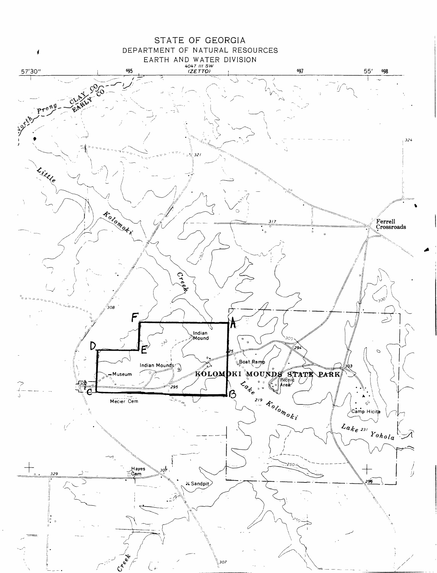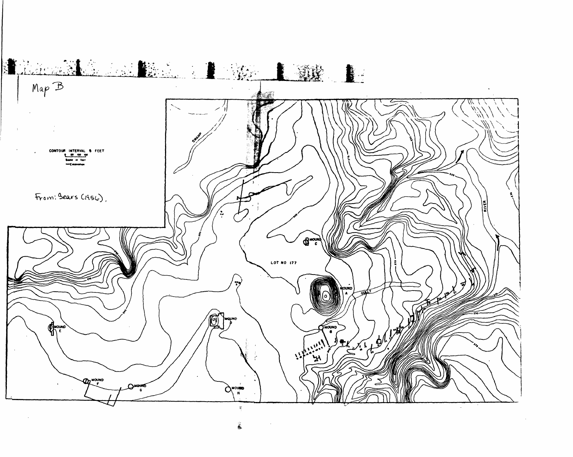

姜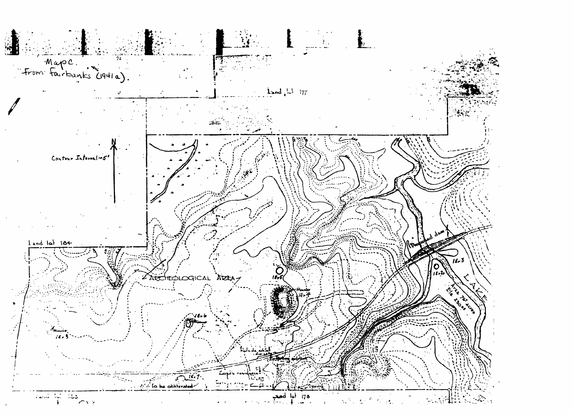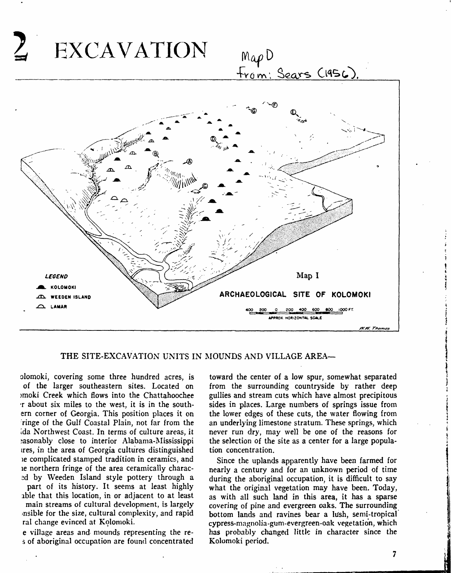

#### THE SITE-EXCAVATION UNITS IN MOUNDS AND VILLAGE AREA—

olomoki, covering some three hundred acres, is of the larger southeastern sites. Located on )moki Creek which flows into the Chattahoochee •r about six miles to the west, it is in the southern corner of Georgia. This position places it on ringe of the Gulf Coastal Plain, not far from the Ida Northwest Coast. In terms of culture areas, it ?asonably close to interior Alabama-Mississippi ires, in the area of Georgia cultures distinguished ic complicated stamped tradition in ceramics, and ie northern fringe of the area ceramically charac-2d by Weeden Island style pottery through a part of its history. It seems at least highly able that this location, in or adjacent to at least

main streams of cultural development, is largely msible for the size, cultural complexity, and rapid ral change evinced at Kolomoki.

e village areas and mounds representing the res of aboriginal occupation are found concentrated toward the center of a low spur, somewhat separated from the surrounding countryside by rather deep gullies and stream cuts which have almost precipitous sides in places. Large numbers of springs issue from the lower edges of these cuts, the water flowing from an underlying limestone stratum. These springs, which never run dry, may well be one of the reasons for the selection of the site as a center for a large population concentration.

Since the uplands apparently have been farmed for nearly a century and for an unknown period of time during the aboriginal occupation, it is difficult to say what the original vegetation may have been. Today, as with all such land in this area, it has a sparse covering of pine and evergreen oaks. The surrounding bottom lands and ravines bear a lush, semi-tropical cypress-magnolia-guni-evergreen-oak vegetation, which has probably changed little in character since the Kolomoki period.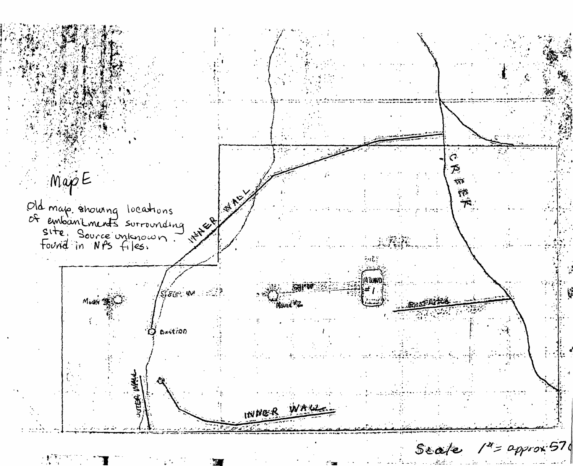